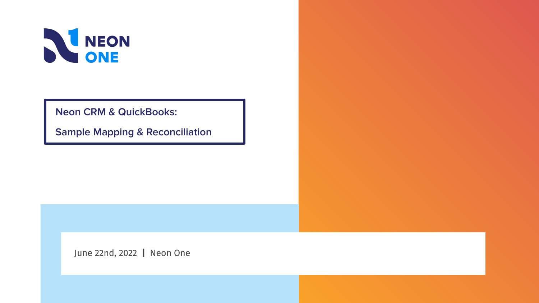

**Neon CRM & QuickBooks:** 

**Sample Mapping & Reconciliation**

June 22nd, 2022 **|** Neon One

**This is a filler subtitle**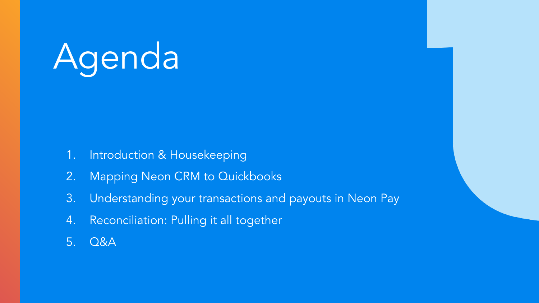# Agenda

- 1. Introduction & Housekeeping
- 2. Mapping Neon CRM to Quickbooks
- 3. Understanding your transactions and payouts in Neon Pay
- 4. Reconciliation: Pulling it all together
- 5. Q&A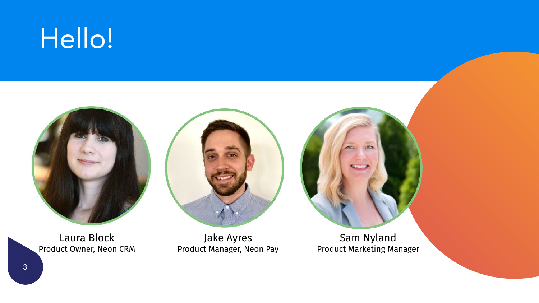## Hello!



Laura Block Product Owner, Neon CRM



Jake Ayres Product Manager, Neon Pay

Sam Nyland Product Marketing Manager

3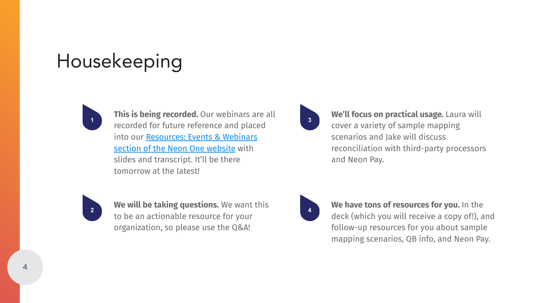## Housekeeping



**This is being recorded.** Our webinars are all recorded for future reference and placed into our [Resources: Events & Webinars](https://neonone.com/resources/nonprofit-events/) [section of the Neon One website](https://neonone.com/resources/nonprofit-events/) with slides and transcript. It'll be there tomorrow at the latest!



**We'll focus on practical usage.** Laura will cover a variety of sample mapping scenarios and Jake will discuss reconciliation with third-party processors and Neon Pay.



**We will be taking questions.** We want this to be an actionable resource for your organization, so please use the Q&A!



**We have tons of resources for you.** In the deck (which you will receive a copy of!), and follow-up resources for you about sample mapping scenarios, QB info, and Neon Pay.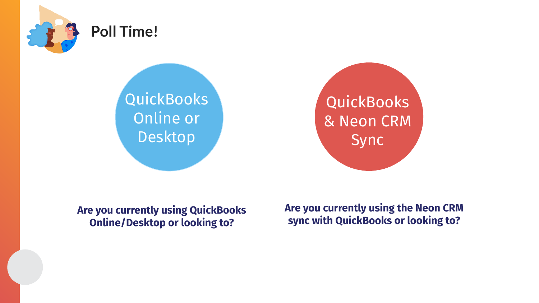

### **Poll Time!**

QuickBooks Online or Desktop

**QuickBooks** & Neon CRM Sync

**Are you currently using QuickBooks Online/Desktop or looking to?** 

**Are you currently using the Neon CRM sync with QuickBooks or looking to?**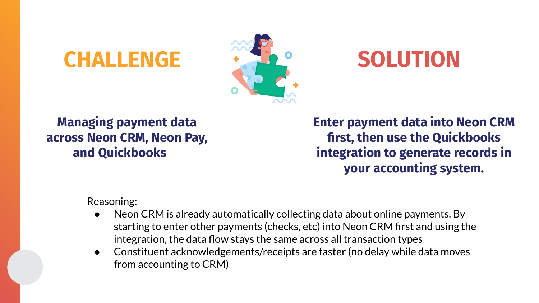## **CHALLENGE**  $\cdot$  **32° SOLUTION**



### **Managing payment data across Neon CRM, Neon Pay, and Quickbooks**

**Enter payment data into Neon CRM first, then use the Quickbooks integration to generate records in your accounting system.**

Reasoning:

- Neon CRM is already automatically collecting data about online payments. By starting to enter other payments (checks, etc) into Neon CRM first and using the integration, the data flow stays the same across all transaction types
- Constituent acknowledgements/receipts are faster (no delay while data moves from accounting to CRM)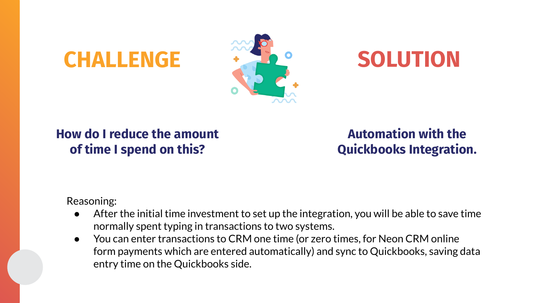## **CHALLENGE**  $\cdot$  $\cdot$  $\cdot$  $\cdot$  $\cdot$  **SOLUTION**



### **How do I reduce the amount of time I spend on this?**

**Automation with the Quickbooks Integration.**

Reasoning:

- After the initial time investment to set up the integration, you will be able to save time normally spent typing in transactions to two systems.
- You can enter transactions to CRM one time (or zero times, for Neon CRM online form payments which are entered automatically) and sync to Quickbooks, saving data entry time on the Quickbooks side.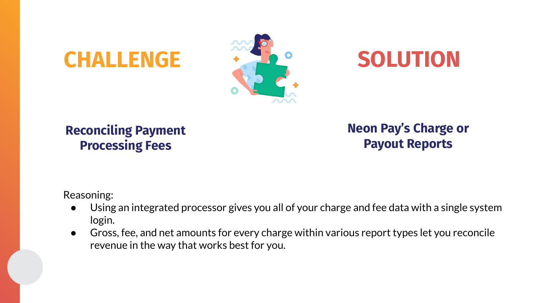## **CHALLENGE**  $\cdot$  **32° SOLUTION**



### **Reconciling Payment Processing Fees**

**Neon Pay's Charge or Payout Reports**

Reasoning:

- Using an integrated processor gives you all of your charge and fee data with a single system login.
- Gross, fee, and net amounts for every charge within various report types let you reconcile revenue in the way that works best for you.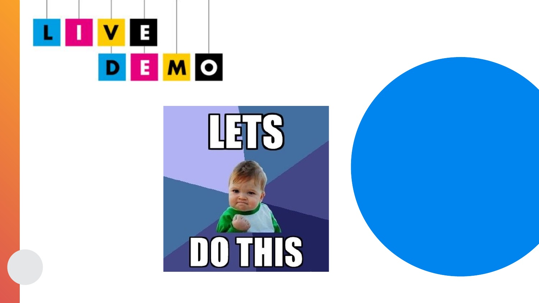



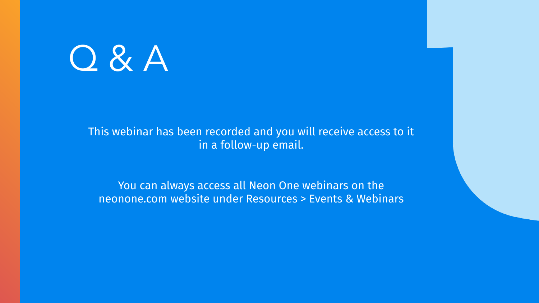

### This webinar has been recorded and you will receive access to it in a follow-up email.

You can always access all Neon One webinars on the neonone.com website under Resources > Events & Webinars